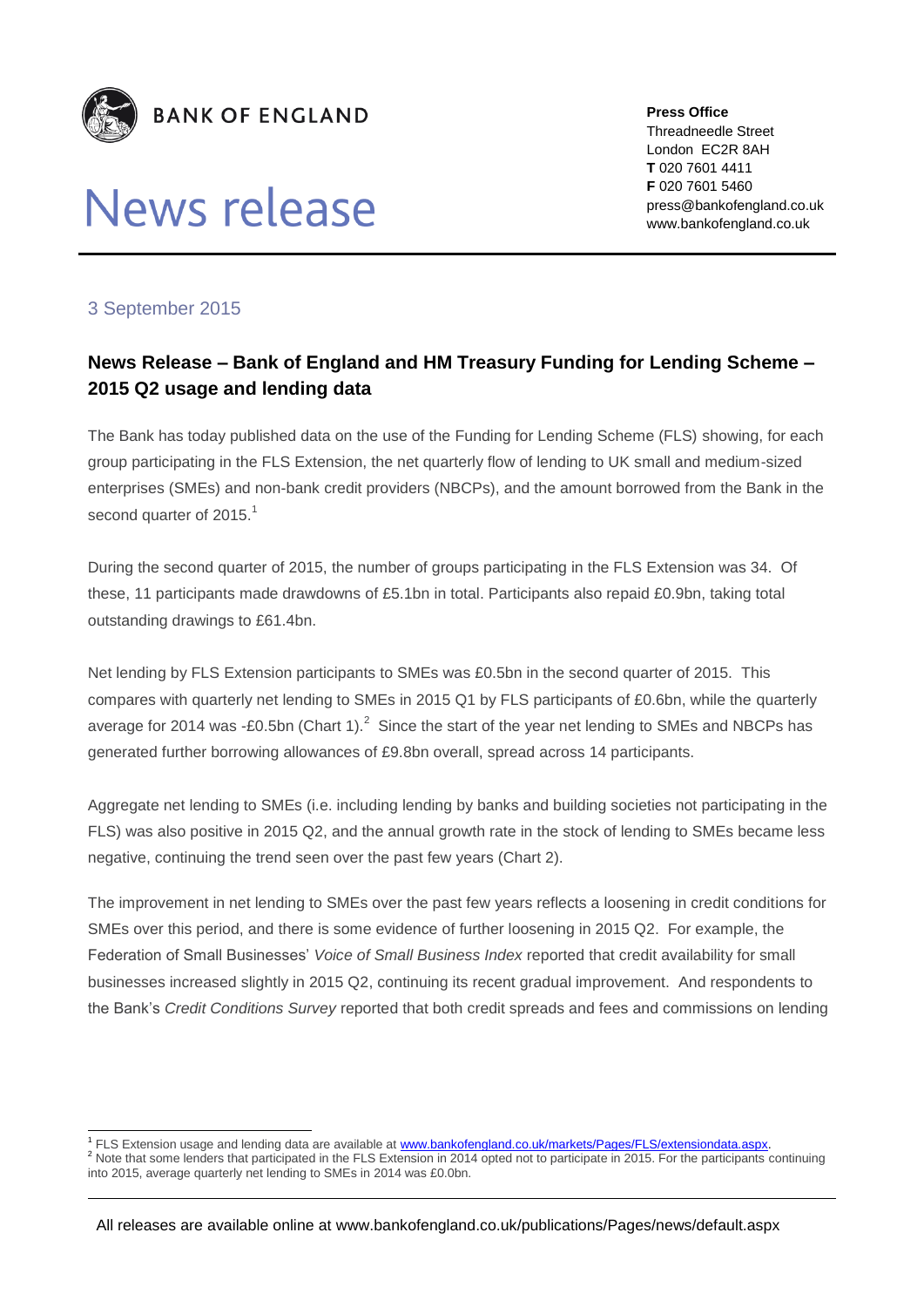

# News release

**Press Office** Threadneedle Street London EC2R 8AH **T** 020 7601 4411 **F** 020 7601 5460 press@bankofengland.co.uk www.bankofengland.co.uk

## 3 September 2015

## **News Release – Bank of England and HM Treasury Funding for Lending Scheme – 2015 Q2 usage and lending data**

The Bank has today published data on the use of the Funding for Lending Scheme (FLS) showing, for each group participating in the FLS Extension, the net quarterly flow of lending to UK small and medium-sized enterprises (SMEs) and non-bank credit providers (NBCPs), and the amount borrowed from the Bank in the second quarter of 2015.<sup>1</sup>

During the second quarter of 2015, the number of groups participating in the FLS Extension was 34. Of these, 11 participants made drawdowns of £5.1bn in total. Participants also repaid £0.9bn, taking total outstanding drawings to £61.4bn.

Net lending by FLS Extension participants to SMEs was £0.5bn in the second quarter of 2015. This compares with quarterly net lending to SMEs in 2015 Q1 by FLS participants of £0.6bn, while the quarterly average for 2014 was -£0.5bn (Chart 1). $^2$  Since the start of the year net lending to SMEs and NBCPs has generated further borrowing allowances of £9.8bn overall, spread across 14 participants.

Aggregate net lending to SMEs (i.e. including lending by banks and building societies not participating in the FLS) was also positive in 2015 Q2, and the annual growth rate in the stock of lending to SMEs became less negative, continuing the trend seen over the past few years (Chart 2).

The improvement in net lending to SMEs over the past few years reflects a loosening in credit conditions for SMEs over this period, and there is some evidence of further loosening in 2015 Q2. For example, the Federation of Small Businesses' *Voice of Small Business Index* reported that credit availability for small businesses increased slightly in 2015 Q2, continuing its recent gradual improvement. And respondents to the Bank's *Credit Conditions Survey* reported that both credit spreads and fees and commissions on lending

<sup>1</sup> FLS Extension usage and lending data are available at [www.bankofengland.co.uk/markets/Pages/FLS/extensiondata.aspx.](www.bankofengland.co.uk/markets/Pages/FLS/extensiondata.aspx)

<sup>&</sup>lt;sup>2</sup> Note that some lenders that participated in the FLS Extension in 2014 opted not to participate in 2015. For the participants continuing into 2015, average quarterly net lending to SMEs in 2014 was £0.0bn.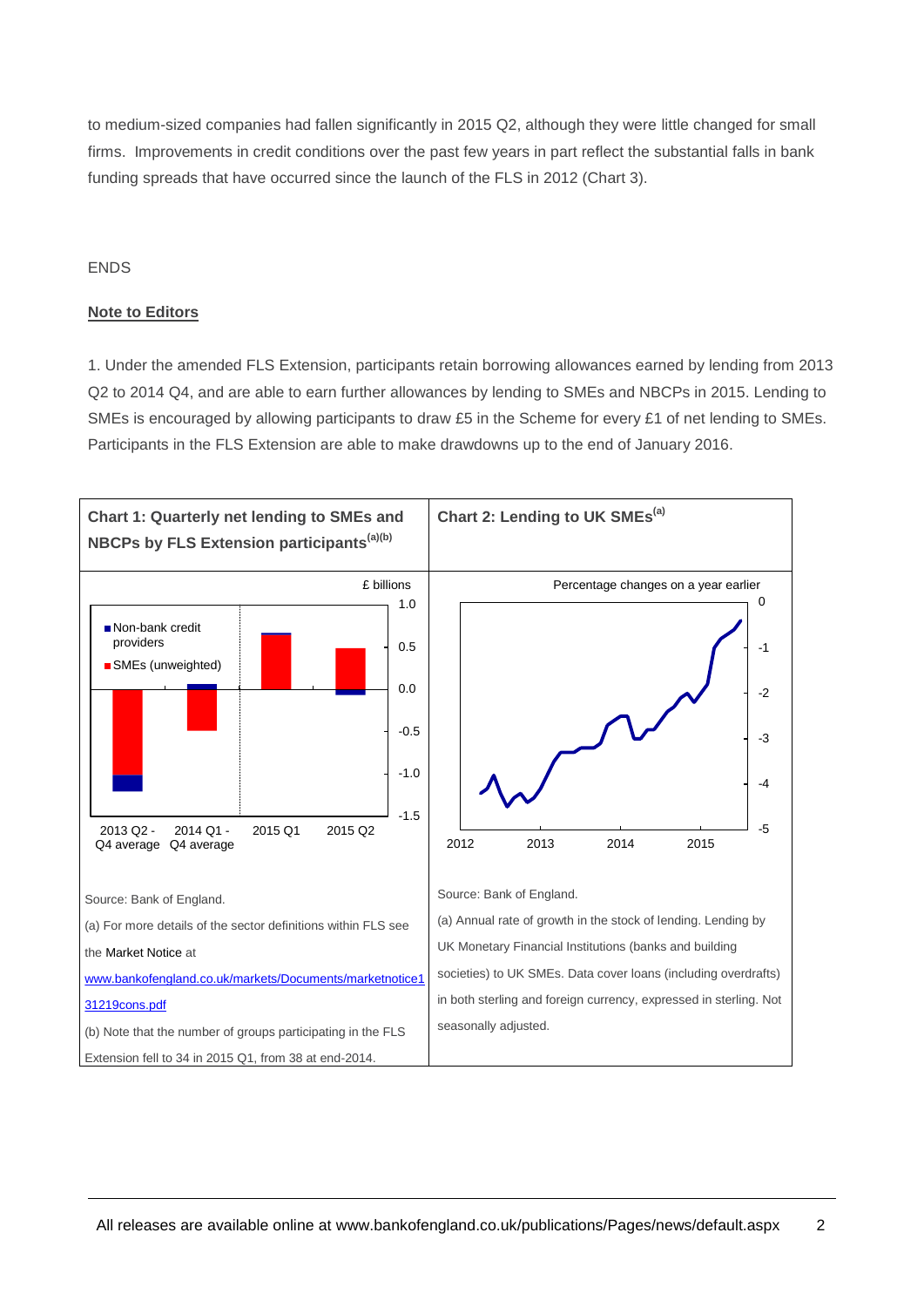to medium-sized companies had fallen significantly in 2015 Q2, although they were little changed for small firms. Improvements in credit conditions over the past few years in part reflect the substantial falls in bank funding spreads that have occurred since the launch of the FLS in 2012 (Chart 3).

### **FNDS**

### **Note to Editors**

1. Under the amended FLS Extension, participants retain borrowing allowances earned by lending from 2013 Q2 to 2014 Q4, and are able to earn further allowances by lending to SMEs and NBCPs in 2015. Lending to SMEs is encouraged by allowing participants to draw £5 in the Scheme for every £1 of net lending to SMEs. Participants in the FLS Extension are able to make drawdowns up to the end of January 2016.